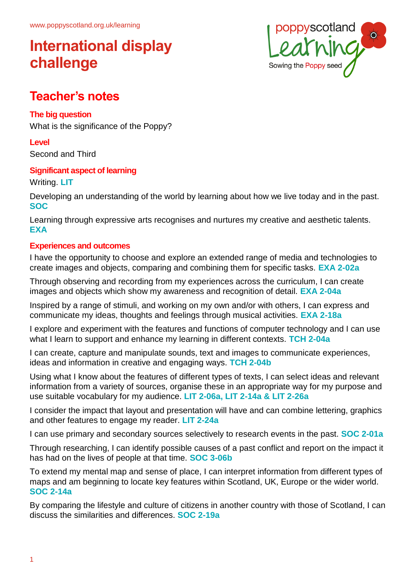

## **Teacher's notes**

### **The big question**

What is the significance of the Poppy?

### **Level**

Second and Third

## **Significant aspect of learning**

Writing. **LIT**

Developing an understanding of the world by learning about how we live today and in the past. **SOC**

Learning through expressive arts recognises and nurtures my creative and aesthetic talents. **EXA**

### **Experiences and outcomes**

I have the opportunity to choose and explore an extended range of media and technologies to create images and objects, comparing and combining them for specific tasks. **EXA 2-02a**

Through observing and recording from my experiences across the curriculum, I can create images and objects which show my awareness and recognition of detail. **EXA 2-04a**

Inspired by a range of stimuli, and working on my own and/or with others, I can express and communicate my ideas, thoughts and feelings through musical activities. **EXA 2-18a**

I explore and experiment with the features and functions of computer technology and I can use what I learn to support and enhance my learning in different contexts. **TCH 2-04a**

I can create, capture and manipulate sounds, text and images to communicate experiences, ideas and information in creative and engaging ways. **TCH 2-04b**

Using what I know about the features of different types of texts, I can select ideas and relevant information from a variety of sources, organise these in an appropriate way for my purpose and use suitable vocabulary for my audience. **LIT 2-06a, LIT 2-14a & LIT 2-26a**

I consider the impact that layout and presentation will have and can combine lettering, graphics and other features to engage my reader. **LIT 2-24a**

I can use primary and secondary sources selectively to research events in the past. **SOC 2-01a**

Through researching, I can identify possible causes of a past conflict and report on the impact it has had on the lives of people at that time. **SOC 3-06b**

To extend my mental map and sense of place, I can interpret information from different types of maps and am beginning to locate key features within Scotland, UK, Europe or the wider world. **SOC 2-14a**

By comparing the lifestyle and culture of citizens in another country with those of Scotland, I can discuss the similarities and differences. **SOC 2-19a**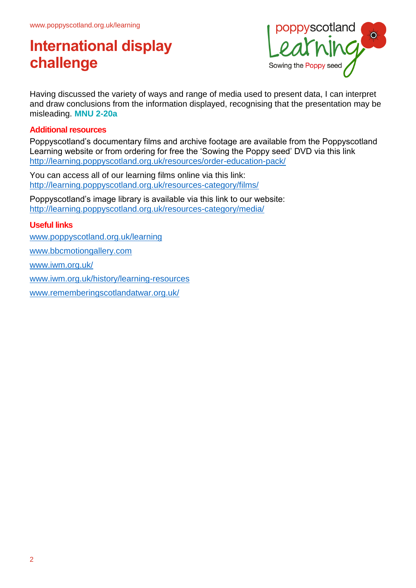

Having discussed the variety of ways and range of media used to present data, I can interpret and draw conclusions from the information displayed, recognising that the presentation may be misleading. **MNU 2-20a**

#### **Additional resources**

Poppyscotland's documentary films and archive footage are available from the Poppyscotland Learning website or from ordering for free the 'Sowing the Poppy seed' DVD via this link <http://learning.poppyscotland.org.uk/resources/order-education-pack/>

You can access all of our learning films online via this link: <http://learning.poppyscotland.org.uk/resources-category/films/>

Poppyscotland's image library is available via this link to our website: <http://learning.poppyscotland.org.uk/resources-category/media/>

#### **Useful links**

[www.poppyscotland.org.uk/learning](http://www.poppyscotland.org.uk/learning)

[www.bbcmotiongallery.com](http://www.bbcmotiongallery.com/) 

[www.iwm.org.uk/](http://www.iwm.org.uk/)

[www.iwm.org.uk/history/learning-resources](http://www.iwm.org.uk/history/learning-resources)

[www.rememberingscotlandatwar.org.uk/](http://www.rememberingscotlandatwar.org.uk/)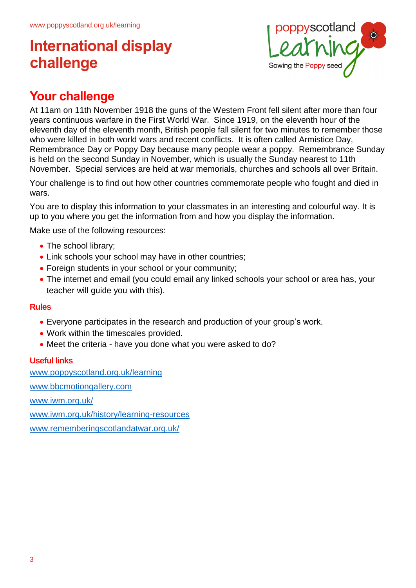

## **Your challenge**

At 11am on 11th November 1918 the guns of the Western Front fell silent after more than four years continuous warfare in the First World War. Since 1919, on the eleventh hour of the eleventh day of the eleventh month, British people fall silent for two minutes to remember those who were killed in both world wars and recent conflicts. It is often called Armistice Day, Remembrance Day or Poppy Day because many people wear a poppy. Remembrance Sunday is held on the second Sunday in November, which is usually the Sunday nearest to 11th November. Special services are held at war memorials, churches and schools all over Britain.

Your challenge is to find out how other countries commemorate people who fought and died in wars.

You are to display this information to your classmates in an interesting and colourful way. It is up to you where you get the information from and how you display the information.

Make use of the following resources:

- The school library;
- Link schools your school may have in other countries;
- Foreign students in your school or your community;
- The internet and email (you could email any linked schools your school or area has, your teacher will guide you with this).

#### **Rules**

- Everyone participates in the research and production of your group's work.
- Work within the timescales provided.
- Meet the criteria have you done what you were asked to do?

#### **Useful links**

[www.poppyscotland.org.uk/learning](http://www.poppyscotland.org.uk/learning) [www.bbcmotiongallery.com](http://www.bbcmotiongallery.com/)  [www.iwm.org.uk/](http://www.iwm.org.uk/) [www.iwm.org.uk/history/learning-resources](http://www.iwm.org.uk/history/learning-resources) [www.rememberingscotlandatwar.org.uk/](http://www.rememberingscotlandatwar.org.uk/)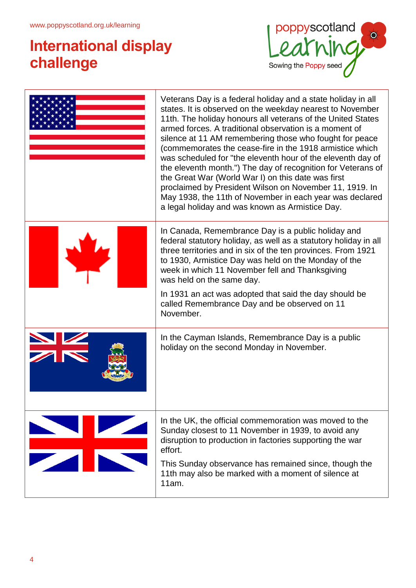

|                 | Veterans Day is a federal holiday and a state holiday in all<br>states. It is observed on the weekday nearest to November<br>11th. The holiday honours all veterans of the United States<br>armed forces. A traditional observation is a moment of<br>silence at 11 AM remembering those who fought for peace<br>(commemorates the cease-fire in the 1918 armistice which<br>was scheduled for "the eleventh hour of the eleventh day of<br>the eleventh month.") The day of recognition for Veterans of<br>the Great War (World War I) on this date was first<br>proclaimed by President Wilson on November 11, 1919. In<br>May 1938, the 11th of November in each year was declared<br>a legal holiday and was known as Armistice Day. |  |
|-----------------|------------------------------------------------------------------------------------------------------------------------------------------------------------------------------------------------------------------------------------------------------------------------------------------------------------------------------------------------------------------------------------------------------------------------------------------------------------------------------------------------------------------------------------------------------------------------------------------------------------------------------------------------------------------------------------------------------------------------------------------|--|
|                 | In Canada, Remembrance Day is a public holiday and<br>federal statutory holiday, as well as a statutory holiday in all<br>three territories and in six of the ten provinces. From 1921<br>to 1930, Armistice Day was held on the Monday of the<br>week in which 11 November fell and Thanksgiving<br>was held on the same day.<br>In 1931 an act was adopted that said the day should be<br>called Remembrance Day and be observed on 11<br>November.                                                                                                                                                                                                                                                                                    |  |
|                 | In the Cayman Islands, Remembrance Day is a public<br>holiday on the second Monday in November.                                                                                                                                                                                                                                                                                                                                                                                                                                                                                                                                                                                                                                          |  |
| <b>THE REAL</b> | In the UK, the official commemoration was moved to the<br>Sunday closest to 11 November in 1939, to avoid any<br>disruption to production in factories supporting the war<br>effort.<br>This Sunday observance has remained since, though the<br>11th may also be marked with a moment of silence at<br>11am.                                                                                                                                                                                                                                                                                                                                                                                                                            |  |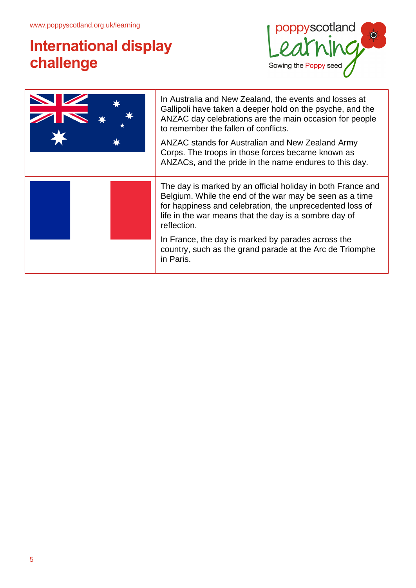

| In Australia and New Zealand, the events and losses at<br>Gallipoli have taken a deeper hold on the psyche, and the<br>ANZAC day celebrations are the main occasion for people<br>to remember the fallen of conflicts.<br>ANZAC stands for Australian and New Zealand Army<br>Corps. The troops in those forces became known as<br>ANZACs, and the pride in the name endures to this day. |
|-------------------------------------------------------------------------------------------------------------------------------------------------------------------------------------------------------------------------------------------------------------------------------------------------------------------------------------------------------------------------------------------|
| The day is marked by an official holiday in both France and<br>Belgium. While the end of the war may be seen as a time<br>for happiness and celebration, the unprecedented loss of<br>life in the war means that the day is a sombre day of<br>reflection.                                                                                                                                |
| In France, the day is marked by parades across the<br>country, such as the grand parade at the Arc de Triomphe<br>in Paris.                                                                                                                                                                                                                                                               |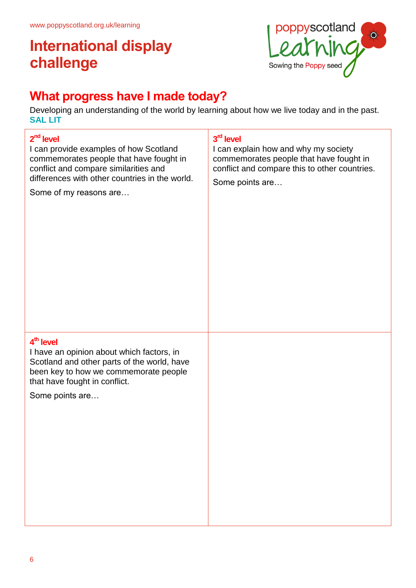

## **What progress have I made today?**

Developing an understanding of the world by learning about how we live today and in the past. **SAL LIT**

| $2nd$ level<br>I can provide examples of how Scotland<br>commemorates people that have fought in<br>conflict and compare similarities and<br>differences with other countries in the world.<br>Some of my reasons are | 3rd level<br>I can explain how and why my society<br>commemorates people that have fought in<br>conflict and compare this to other countries.<br>Some points are |
|-----------------------------------------------------------------------------------------------------------------------------------------------------------------------------------------------------------------------|------------------------------------------------------------------------------------------------------------------------------------------------------------------|
| 4 <sup>th</sup> level<br>I have an opinion about which factors, in<br>Scotland and other parts of the world, have<br>been key to how we commemorate people<br>that have fought in conflict.<br>Some points are        |                                                                                                                                                                  |